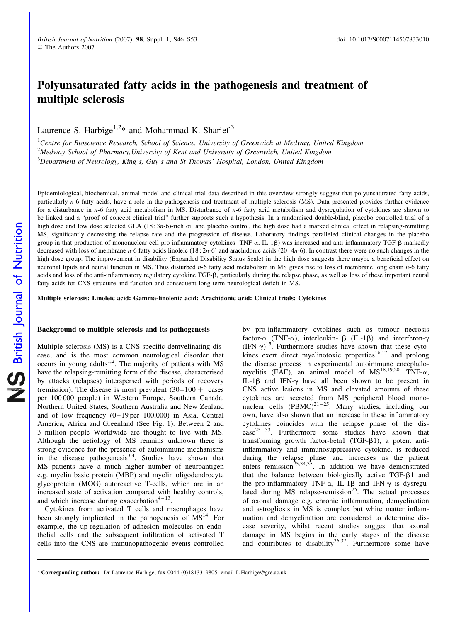# Polyunsaturated fatty acids in the pathogenesis and treatment of multiple sclerosis

Laurence S. Harbige<sup>1,2\*</sup> and Mohammad K. Sharief<sup>3</sup>

<sup>1</sup>Centre for Bioscience Research, School of Science, University of Greenwich at Medway, United Kingdom <sup>2</sup>Medway School of Pharmacy, University of Kent and University of Greenwich, United Kingdom  $3$ Department of Neurology, King's, Guy's and St Thomas' Hospital, London, United Kingdom

Epidemiological, biochemical, animal model and clinical trial data described in this overview strongly suggest that polyunsaturated fatty acids, particularly n-6 fatty acids, have a role in the pathogenesis and treatment of multiple sclerosis (MS). Data presented provides further evidence for a disturbance in n-6 fatty acid metabolism in MS. Disturbance of n-6 fatty acid metabolism and dysregulation of cytokines are shown to be linked and a "proof of concept clinical trial" further supports such a hypothesis. In a randomised double-blind, placebo controlled trial of a high dose and low dose selected GLA (18:3*n*-6)-rich oil and placebo control, the high dose had a marked clinical effect in relapsing-remitting MS, significantly decreasing the relapse rate and the progression of disease. Laboratory findings paralleled clinical changes in the placebo group in that production of mononuclear cell pro-inflammatory cytokines (TNF- $\alpha$ , IL-1 $\beta$ ) was increased and anti-inflammatory TGF- $\beta$  markedly decreased with loss of membrane n-6 fatty acids linoleic (18:2n-6) and arachidonic acids (20:4n-6). In contrast there were no such changes in the high dose group. The improvement in disability (Expanded Disability Status Scale) in the high dose suggests there maybe a beneficial effect on neuronal lipids and neural function in MS. Thus disturbed n-6 fatty acid metabolism in MS gives rise to loss of membrane long chain n-6 fatty acids and loss of the anti-inflammatory regulatory cytokine TGF- $\beta$ , particularly during the relapse phase, as well as loss of these important neural fatty acids for CNS structure and function and consequent long term neurological deficit in MS.

Multiple sclerosis: Linoleic acid: Gamma-linolenic acid: Arachidonic acid: Clinical trials: Cytokines

## Background to multiple sclerosis and its pathogenesis

Multiple sclerosis (MS) is a CNS-specific demyelinating disease, and is the most common neurological disorder that occurs in young adults<sup>1,2</sup>. The majority of patients with MS have the relapsing-remitting form of the disease, characterised by attacks (relapses) interspersed with periods of recovery (remission). The disease is most prevalent  $(30-100 + \text{cases})$ per 100 000 people) in Western Europe, Southern Canada, Northern United States, Southern Australia and New Zealand and of low frequency (0–19 per 100,000) in Asia, Central America, Africa and Greenland (See Fig. 1). Between 2 and 3 million people Worldwide are thought to live with MS. Although the aetiology of MS remains unknown there is strong evidence for the presence of autoimmune mechanisms in the disease pathogenesis $3,4$ . Studies have shown that MS patients have a much higher number of neuroantigen e.g. myelin basic protein (MBP) and myelin oligodendrocyte glycoprotein (MOG) autoreactive T-cells, which are in an increased state of activation compared with healthy controls, and which increase during exacerbation $4-13$ .

Cytokines from activated T cells and macrophages have been strongly implicated in the pathogenesis of  $\overline{MS}^{14}$ . For example, the up-regulation of adhesion molecules on endothelial cells and the subsequent infiltration of activated T cells into the CNS are immunopathogenic events controlled

by pro-inflammatory cytokines such as tumour necrosis factor- $\alpha$  (TNF- $\alpha$ ), interleukin-1 $\beta$  (IL-1 $\beta$ ) and interferon- $\gamma$  $(IFN-\gamma)^{15}$ . Furthermore studies have shown that these cytokines exert direct myelinotoxic properties $16,17$  and prolong the disease process in experimental autoimmune encephalomyelitis (EAE), an animal model of  $MS^{18,19,20}$ . TNF- $\alpha$ , IL-1 $\beta$  and IFN- $\gamma$  have all been shown to be present in CNS active lesions in MS and elevated amounts of these cytokines are secreted from MS peripheral blood mononuclear cells  $(PBMC)^{21-25}$ . Many studies, including our own, have also shown that an increase in these inflammatory cytokines coincides with the relapse phase of the dis $e$ ase<sup>25-33</sup>. Furthermore some studies have shown that transforming growth factor-beta1 (TGF- $\beta$ 1), a potent antiinflammatory and immunosuppressive cytokine, is reduced during the relapse phase and increases as the patient enters remission<sup> $25,34,35$ </sup>. In addition we have demonstrated that the balance between biologically active TGF- $\beta$ 1 and the pro-inflammatory TNF- $\alpha$ , IL-1 $\beta$  and IFN- $\gamma$  is dysregulated during  $MS$  relapse-remission<sup>25</sup>. The actual processes of axonal damage e.g. chronic inflammation, demyelination and astrogliosis in MS is complex but white matter inflammation and demyelination are considered to determine disease severity, whilst recent studies suggest that axonal damage in MS begins in the early stages of the disease and contributes to disability $36,37$ . Furthermore some have

<sup>\*</sup> Corresponding author: Dr Laurence Harbige, fax 0044 (0)1813319805, email L.Harbige@gre.ac.uk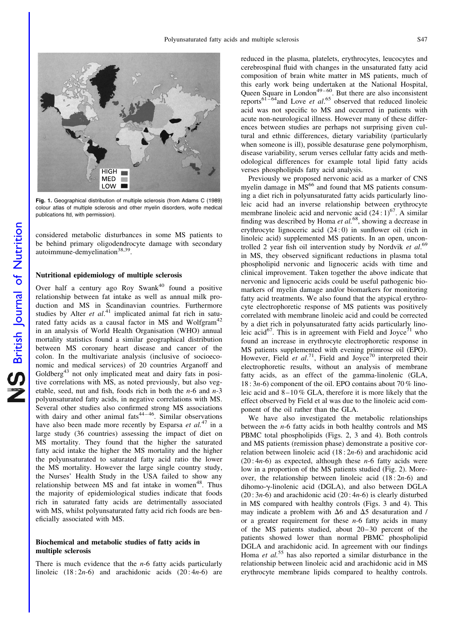

Fig. 1. Geographical distribution of multiple sclerosis (from Adams C (1989) colour atlas of multiple sclerosis and other myelin disorders, wolfe medical publications ltd, with permission).

considered metabolic disturbances in some MS patients to be behind primary oligodendrocyte damage with secondary autoimmune-demyelination<sup>38,39</sup>.

## Nutritional epidemiology of multiple sclerosis

Over half a century ago Roy Swank<sup>40</sup> found a positive relationship between fat intake as well as annual milk production and MS in Scandinavian countries. Furthermore studies by Alter  $et$   $al$ <sup>41</sup> implicated animal fat rich in saturated fatty acids as a causal factor in MS and Wolfgram<sup>42</sup> in an analysis of World Health Organisation (WHO) annual mortality statistics found a similar geographical distribution between MS coronary heart disease and cancer of the colon. In the multivariate analysis (inclusive of socioeconomic and medical services) of 20 countries Arganoff and Goldberg<sup>43</sup> not only implicated meat and dairy fats in positive correlations with MS, as noted previously, but also vegetable, seed, nut and fish, foods rich in both the  $n-6$  and  $n-3$ polyunsaturated fatty acids, in negative correlations with MS. Several other studies also confirmed strong MS associations with dairy and other animal fats<sup>44-46</sup>. Similar observations have also been made more recently by Esparsa *et al.*<sup>47</sup> in a large study (36 countries) assessing the impact of diet on MS mortality. They found that the higher the saturated fatty acid intake the higher the MS mortality and the higher the polyunsaturated to saturated fatty acid ratio the lower the MS mortality. However the large single country study, the Nurses' Health Study in the USA failed to show any relationship between  $MS$  and fat intake in women<sup>48</sup>. Thus the majority of epidemiological studies indicate that foods rich in saturated fatty acids are detrimentally associated with MS, whilst polyunsaturated fatty acid rich foods are beneficially associated with MS.

#### Biochemical and metabolic studies of fatty acids in multiple sclerosis

There is much evidence that the  $n-6$  fatty acids particularly linoleic  $(18:2n-6)$  and arachidonic acids  $(20:4n-6)$  are reduced in the plasma, platelets, erythrocytes, leucocytes and cerebrospinal fluid with changes in the unsaturated fatty acid composition of brain white matter in MS patients, much of this early work being undertaken at the National Hospital, Queen Square in London<sup>49–60</sup>. But there are also inconsistent reports<sup>61-64</sup> and Love *et al.*<sup>65</sup> observed that reduced linoleic acid was not specific to MS and occurred in patients with acute non-neurological illness. However many of these differences between studies are perhaps not surprising given cultural and ethnic differences, dietary variability (particularly when someone is ill), possible desaturase gene polymorphism, disease variability, serum verses cellular fatty acids and methodological differences for example total lipid fatty acids verses phospholipids fatty acid analysis.

Previously we proposed nervonic acid as a marker of CNS myelin damage in MS<sup>66</sup> and found that MS patients consuming a diet rich in polyunsaturated fatty acids particularly linoleic acid had an inverse relationship between erythrocyte membrane linoleic acid and nervonic acid  $(24:1)^{67}$ . A similar finding was described by Homa et  $al$ <sup>68</sup>, showing a decrease in erythrocyte lignoceric acid (24 : 0) in sunflower oil (rich in linoleic acid) supplemented MS patients. In an open, uncontrolled 2 year fish oil intervention study by Nordvik et al.<sup>69</sup> in MS, they observed significant reductions in plasma total phospholipid nervonic and lignoceric acids with time and clinical improvement. Taken together the above indicate that nervonic and lignoceric acids could be useful pathogenic biomarkers of myelin damage and/or biomarkers for monitoring fatty acid treatments. We also found that the atypical erythrocyte electrophoretic response of MS patients was positively correlated with membrane linoleic acid and could be corrected by a diet rich in polyunsaturated fatty acids particularly linoleic acid<sup>67</sup>. This is in agreement with Field and Joyce<sup>71</sup> who found an increase in erythrocyte electrophoretic response in MS patients supplemented with evening primrose oil (EPO). However, Field et  $al.^{71}$ , Field and Joyce<sup>70</sup> interpreted their electrophoretic results, without an analysis of membrane fatty acids, as an effect of the gamma-linolenic (GLA,  $18:3n-6$ ) component of the oil. EPO contains about 70 % linoleic acid and 8–10 % GLA, therefore it is more likely that the effect observed by Field et al was due to the linoleic acid component of the oil rather than the GLA.

We have also investigated the metabolic relationships between the n-6 fatty acids in both healthy controls and MS PBMC total phospholipids (Figs. 2, 3 and 4). Both controls and MS patients (remission phase) demonstrate a positive correlation between linoleic acid  $(18:2n-6)$  and arachidonic acid  $(20:4n-6)$  as expected, although these *n*-6 fatty acids were low in a proportion of the MS patients studied (Fig. 2). Moreover, the relationship between linoleic acid  $(18:2n-6)$  and dihomo-g-linolenic acid (DGLA), and also between DGLA  $(20:3n-6)$  and arachidonic acid  $(20:4n-6)$  is clearly disturbed in MS compared with healthy controls (Figs. 3 and 4). This may indicate a problem with  $\Delta 6$  and  $\Delta 5$  desaturation and / or a greater requirement for these  $n-6$  fatty acids in many of the MS patients studied, about 20–30 percent of the patients showed lower than normal PBMC phospholipid DGLA and arachidonic acid. In agreement with our findings Homa *et al.*<sup>55</sup> has also reported a similar disturbance in the relationship between linoleic acid and arachidonic acid in MS erythrocyte membrane lipids compared to healthy controls.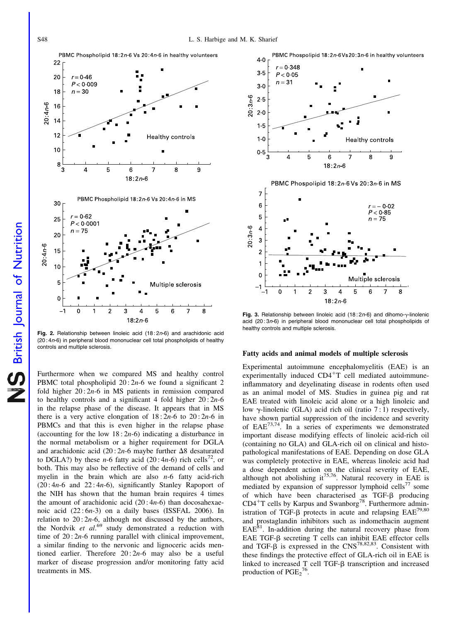PBMC Phospholipid 18:2n-6 Vs 20:4n-6 in healthy volunteers 22  $r = 0.46$ 20  $P < 0.009$  $n = 30$ 18  $20:4n-6$ 16  $14$  $12$ Healthy controls  $10$ 8 3 5 6 8 9 4 7  $18:2n-6$ PBMC Phospholipid 18:2n-6 Vs 20:4n-6 in MS 30  $r = 0.62$ 25  $P < 0.0001$  $n = 75$  $20$  $20:4n-6$ 15  $10$ 5 Multiple sclerosis C  $\overline{0}$  $\overline{2}$ 3 4 5 6 8  $18:2n6$ 

Fig. 2. Relationship between linoleic acid (18:2n-6) and arachidonic acid (20 : 4n-6) in peripheral blood mononuclear cell total phospholipids of healthy controls and multiple sclerosis.

Furthermore when we compared MS and healthy control PBMC total phospholipid  $20:2n-6$  we found a significant 2 fold higher  $20:2n-6$  in MS patients in remission compared to healthy controls and a significant 4 fold higher  $20:2n-6$ in the relapse phase of the disease. It appears that in MS there is a very active elongation of  $18:2n-6$  to  $20:2n-6$  in PBMCs and that this is even higher in the relapse phase (accounting for the low  $18:2n-6$ ) indicating a disturbance in the normal metabolism or a higher requirement for DGLA and arachidonic acid (20:2n-6 maybe further  $\Delta$ 8 desaturated to DGLA?) by these n-6 fatty acid  $(20:4n-6)$  rich cells<sup>72</sup>, or both. This may also be reflective of the demand of cells and myelin in the brain which are also  $n-6$  fatty acid-rich  $(20:4n-6$  and  $22:4n-6)$ , significantly Stanley Rapoport of the NIH has shown that the human brain requires 4 times the amount of arachidonic acid  $(20:4n-6)$  than docosahexaenoic acid  $(22:6n-3)$  on a daily bases (ISSFAL 2006). In relation to  $20:2n-6$ , although not discussed by the authors, the Nordvik et  $al$ <sup>69</sup> study demonstrated a reduction with time of  $20:2n-6$  running parallel with clinical improvement, a similar finding to the nervonic and lignoceric acids mentioned earlier. Therefore  $20:2n-6$  may also be a useful marker of disease progression and/or monitoring fatty acid treatments in MS.



Fig. 3. Relationship between linoleic acid (18:2n-6) and dihomo- $\gamma$ -linolenic acid (20 : 3n-6) in peripheral blood mononuclear cell total phospholipids of healthy controls and multiple sclerosis.

# Fatty acids and animal models of multiple sclerosis

Experimental autoimmune encephalomyelitis (EAE) is an experimentally induced  $CD4+T$  cell mediated autoimmuneinflammatory and deyelinating disease in rodents often used as an animal model of MS. Studies in guinea pig and rat EAE treated with linoleic acid alone or a high linoleic and low  $\gamma$ -linolenic (GLA) acid rich oil (ratio 7:1) respectively, have shown partial suppression of the incidence and severity of  $EAE^{73,74}$ . In a series of experiments we demonstrated important disease modifying effects of linoleic acid-rich oil (containing no GLA) and GLA-rich oil on clinical and histopathological manifestations of EAE. Depending on dose GLA was completely protective in EAE, whereas linoleic acid had a dose dependent action on the clinical severity of EAE, although not abolishing it<sup>75,76</sup>. Natural recovery in EAE is mediated by expansion of suppressor lymphoid cells<sup>77</sup> some of which have been characterised as TGF- $\beta$  producing  $CD4<sup>+</sup>T$  cells by Karpus and Swanborg<sup>78</sup>. Furthermore administration of TGF- $\beta$  protects in acute and relapsing  $EAE^{79,80}$ and prostaglandin inhibitors such as indomethacin augment  $EAE<sup>81</sup>$ . In-addition during the natural recovery phase from EAE TGF- $\beta$  secreting T cells can inhibit EAE effector cells and TGF- $\beta$  is expressed in the CNS<sup>78,82,83</sup>. Consistent with these findings the protective effect of GLA-rich oil in EAE is linked to increased T cell TGF- $\beta$  transcription and increased production of  $PGE_2^{76}$ .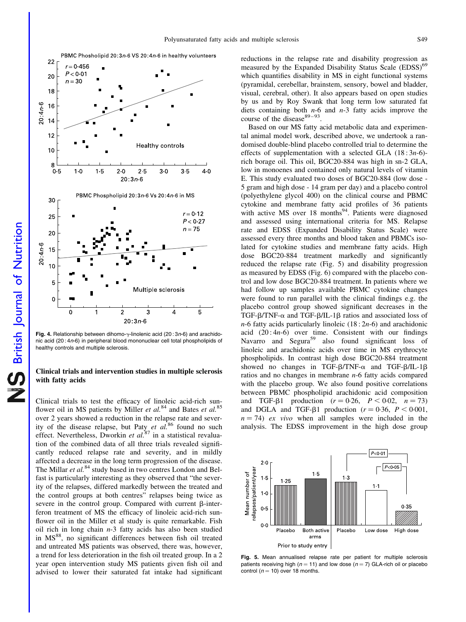

Fig. 4. Relationship between dihomo- $\gamma$ -linolenic acid (20:3n-6) and arachidonic acid (20 : 4n-6) in peripheral blood mononuclear cell total phospholipids of healthy controls and multiple sclerosis.

# Clinical trials and intervention studies in multiple sclerosis with fatty acids

Clinical trials to test the efficacy of linoleic acid-rich sunflower oil in MS patients by Miller et  $al$ <sup>84</sup> and Bates et  $al$ <sup>85</sup> over 2 years showed a reduction in the relapse rate and severity of the disease relapse, but Paty et  $a\hat{l}^{86}$  found no such effect. Nevertheless, Dworkin et  $al$ .<sup>87</sup> in a statistical revaluation of the combined data of all three trials revealed significantly reduced relapse rate and severity, and in mildly affected a decrease in the long term progression of the disease. The Millar et al.<sup>84</sup> study based in two centres London and Belfast is particularly interesting as they observed that "the severity of the relapses, differed markedly between the treated and the control groups at both centres" relapses being twice as severe in the control group. Compared with current  $\beta$ -interferon treatment of MS the efficacy of linoleic acid-rich sunflower oil in the Miller et al study is quite remarkable. Fish oil rich in long chain  $n-3$  fatty acids has also been studied in MS<sup>88</sup>, no significant differences between fish oil treated and untreated MS patients was observed, there was, however, a trend for less deterioration in the fish oil treated group. In a 2 year open intervention study MS patients given fish oil and advised to lower their saturated fat intake had significant reductions in the relapse rate and disability progression as measured by the Expanded Disability Status Scale (EDSS)<sup>69</sup> which quantifies disability in MS in eight functional systems (pyramidal, cerebellar, brainstem, sensory, bowel and bladder, visual, cerebral, other). It also appears based on open studies by us and by Roy Swank that long term low saturated fat diets containing both  $n-6$  and  $n-3$  fatty acids improve the course of the disease  $89 - 93$ .

Based on our MS fatty acid metabolic data and experimental animal model work, described above, we undertook a randomised double-blind placebo controlled trial to determine the effects of supplementation with a selected GLA  $(18:3n-6)$ rich borage oil. This oil, BGC20-884 was high in sn-2 GLA, low in monoenes and contained only natural levels of vitamin E. This study evaluated two doses of BGC20-884 (low dose - 5 gram and high dose - 14 gram per day) and a placebo control (polyethylene glycol 400) on the clinical course and PBMC cytokine and membrane fatty acid profiles of 36 patients with active MS over 18 months<sup>94</sup>. Patients were diagnosed and assessed using international criteria for MS. Relapse rate and EDSS (Expanded Disability Status Scale) were assessed every three months and blood taken and PBMCs isolated for cytokine studies and membrane fatty acids. High dose BGC20-884 treatment markedly and significantly reduced the relapse rate (Fig. 5) and disability progression as measured by EDSS (Fig. 6) compared with the placebo control and low dose BGC20-884 treatment. In patients where we had follow up samples available PBMC cytokine changes were found to run parallel with the clinical findings e.g. the placebo control group showed significant decreases in the TGF- $\beta$ /TNF- $\alpha$  and TGF- $\beta$ /IL-1 $\beta$  ratios and associated loss of  $n-6$  fatty acids particularly linoleic (18 : 2n-6) and arachidonic acid  $(20:4n-6)$  over time. Consistent with our findings Navarro and Segura<sup>59</sup> also found significant loss of linoleic and arachidonic acids over time in MS erythrocyte phospholipids. In contrast high dose BGC20-884 treatment showed no changes in TGF- $\beta$ /TNF- $\alpha$  and TGF- $\beta$ /IL-1 $\beta$ ratios and no changes in membrane n-6 fatty acids compared with the placebo group. We also found positive correlations between PBMC phospholipid arachidonic acid composition and TGF- $\beta$ 1 production ( $r = 0.26$ ,  $P < 0.02$ ,  $n = 73$ ) and DGLA and TGF- $\beta$ 1 production ( $r = 0.36$ ,  $P < 0.001$ ,  $n = 74$ ) ex vivo when all samples were included in the analysis. The EDSS improvement in the high dose group



Fig. 5. Mean annualised relapse rate per patient for multiple sclerosis patients receiving high ( $n = 11$ ) and low dose ( $n = 7$ ) GLA-rich oil or placebo control ( $n = 10$ ) over 18 months.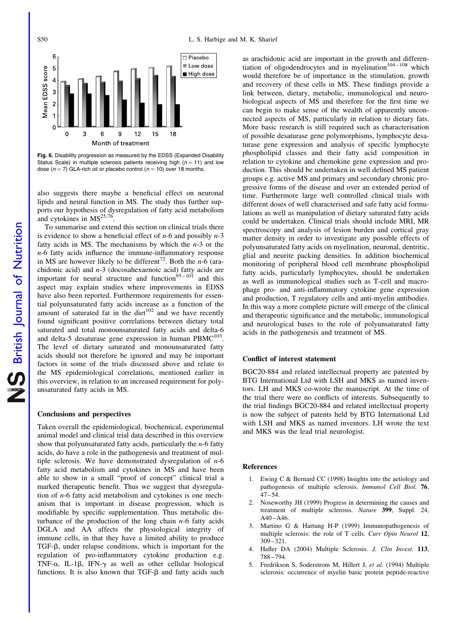

Fig. 6. Disability progression as measured by the EDSS (Expanded Disability Status Scale) in multiple sclerosis patients receiving high ( $n = 11$ ) and low dose ( $n = 7$ ) GLA-rich oil or placebo control ( $n = 10$ ) over 18 months.

also suggests there maybe a beneficial effect on neuronal lipids and neural function in MS. The study thus further supports our hypothesis of dysregulation of fatty acid metabolism and cytokines in  $MS^{25,76}$ .

To summarise and extend this section on clinical trials there is evidence to show a beneficial effect of  $n-6$  and possibly  $n-3$ fatty acids in MS. The mechanisms by which the  $n-3$  or the n-6 fatty acids influence the immune-inflammatory response in MS are however likely to be different<sup>72</sup>. Both the *n*-6 (arachidonic acid) and  $n-3$  (docosahexaenoic acid) fatty acids are important for neural structure and function<sup>95-101</sup> and this aspect may explain studies where improvements in EDSS have also been reported. Furthermore requirements for essential polyunsaturated fatty acids increase as a function of the amount of saturated fat in the diet $102$  and we have recently found significant positive correlations between dietary total saturated and total monounsaturated fatty acids and delta-6 and delta-5 desaturase gene expression in human  $PBMC^{103}$ . The level of dietary saturated and monounsaturated fatty acids should not therefore be ignored and may be important factors in some of the trials discussed above and relate to the MS epidemiological correlations, mentioned earlier in this overview, in relation to an increased requirement for polyunsaturated fatty acids in MS.

#### Conclusions and perspectives

Taken overall the epidemiological, biochemical, experimental animal model and clinical trial data described in this overview show that polyunsaturated fatty acids, particularly the  $n-6$  fatty acids, do have a role in the pathogenesis and treatment of multiple sclerosis. We have demonstrated dysregulation of  $n-6$ fatty acid metabolism and cytokines in MS and have been able to show in a small "proof of concept" clinical trial a marked therapeutic benefit. Thus we suggest that dysregulation of n-6 fatty acid metabolism and cytokines is one mechanism that is important in disease progression, which is modifiable by specific supplementation. Thus metabolic disturbance of the production of the long chain  $n-6$  fatty acids DGLA and AA affects the physiological integrity of immune cells, in that they have a limited ability to produce TGF-b, under relapse conditions, which is important for the regulation of pro-inflammatory cytokine production e.g. TNF- $\alpha$ , IL-1 $\beta$ , IFN- $\gamma$  as well as other cellular biological functions. It is also known that TGF- $\beta$  and fatty acids such as arachidonic acid are important in the growth and differentiation of oligodendrocytes and in myelination<sup>104-108</sup> which would therefore be of importance in the stimulation, growth and recovery of these cells in MS. These findings provide a link between, dietary, metabolic, immunological and neurobiological aspects of MS and therefore for the first time we can begin to make sense of the wealth of apparently unconnected aspects of MS, particularly in relation to dietary fats. More basic research is still required such as characterisation of possible desaturase gene polymorphisms, lymphocyte desaturase gene expression and analysis of specific lymphocyte phospholipid classes and their fatty acid composition in relation to cytokine and chemokine gene expression and production. This should be undertaken in well defined MS patient groups e.g. active MS and primary and secondary chronic progressive forms of the disease and over an extended period of time. Furthermore large well controlled clinical trials with different doses of well characterised and safe fatty acid formulations as well as manipulation of dietary saturated fatty acids could be undertaken. Clinical trials should include MRI, MR spectroscopy and analysis of lesion burden and cortical gray matter density in order to investigate any possible effects of polyunsaturated fatty acids on myelination, neuronal, dentritic, glial and neurite packing densities. In addition biochemical monitoring of peripheral blood cell membrane phospholipid fatty acids, particularly lymphocytes, should be undertaken as well as immunological studies such as T-cell and macrophage pro- and anti-inflammatory cytokine gene expression and production, T regulatory cells and anti-myelin antibodies. In this way a more complete picture will emerge of the clinical and therapeutic significance and the metabolic, immunological and neurological bases to the role of polyunsaturated fatty acids in the pathogenesis and treatment of MS.

# Conflict of interest statement

BGC20-884 and related intellectual property are patented by BTG International Ltd with LSH and MKS as named inventors. LH and MKS co-wrote the manuscript. At the time of the trial there were no conflicts of interests. Subsequently to the trial findings BGC20-884 and related intellectual property is now the subject of patents held by BTG International Ltd with LSH and MKS as named inventors. LH wrote the text and MKS was the lead trial neurologist.

## References

- 1. Ewing C & Bernard CC (1998) Insights into the aetiology and pathogenesis of multiple sclerosis. Immunol Cell Biol. 76, 47–54.
- 2. Noseworthy JH (1999) Progress in determining the causes and treatment of multiple sclerosis. Nature 399, Suppl. 24, A40–A46.
- 3. Martino G & Hartung H-P (1999) Immunopathogenesis of multiple sclerosis: the role of T cells. Curr Opin Neurol 12, 309–321.
- 4. Hafler DA (2004) Multiple Sclerosis. J. Clin Invest. 113, 788–794.
- 5. Fredrikson S, Soderstrom M, Hillert J, et al. (1994) Multiple sclerosis: occurrence of myelin basic protein peptide-reactive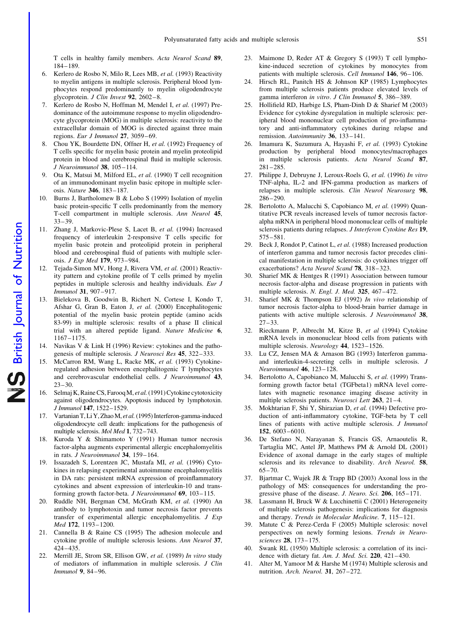T cells in healthy family members. Acta Neurol Scand 89, 184–189.

- 6. Kerlero de Rosbo N, Milo R, Lees MB, et al. (1993) Reactivity to myelin antigens in multiple sclerosis. Peripheral blood lymphocytes respond predominantly to myelin oligodendrocyte glycoprotein. J Clin Invest 92, 2602–8.
- 7. Kerlero de Rosbo N, Hoffman M, Mendel I, et al. (1997) Predominance of the autoimmune response to myelin oligodendrocyte glycoprotein (MOG) in multiple sclerosis: reactivity to the extracellular domain of MOG is directed against three main regions. Eur J Immunol 27, 3059–69.
- 8. Chou YK, Bourdette DN, Offner H, et al. (1992) Frequency of T cells specific for myelin basic protein and myelin proteolipid protein in blood and cerebrospinal fluid in multiple sclerosis. J Neuroimmunol 38, 105–114.
- 9. Ota K, Matsui M, Milford EL, et al. (1990) T cell recognition of an immunodominant myelin basic epitope in multiple sclerosis. Nature 346, 183–187.
- 10. Burns J, Bartholomew B & Lobo S (1999) Isolation of myelin basic protein-specific T cells predominantly from the memory T-cell compartment in multiple sclerosis. Ann Neurol 45, 33–39.
- 11. Zhang J, Markovic-Plese S, Lacet B, et al. (1994) Increased frequency of interleukin 2-responsive T cells specific for myelin basic protein and proteolipid protein in peripheral blood and cerebrospinal fluid of patients with multiple sclerosis. J Exp Med 179, 973–984.
- 12. Tejada-Simon MV, Hong J, Rivera VM, et al. (2001) Reactivity pattern and cytokine profile of T cells primed by myelin peptides in multiple sclerosis and healthy individuals. Eur J Immunol 31, 907–917.
- 13. Bielekova B, Goodwin B, Richert N, Cortese I, Kondo T, Afshar G, Gran B, Eaton J, et al. (2000) Encephalitogenic potential of the myelin basic protein peptide (amino acids 83-99) in multiple sclerosis: results of a phase II clinical trial with an altered peptide ligand. Nature Medicine 6, 1167–1175.
- 14. Navikas V & Link H (1996) Review: cytokines and the pathogenesis of multiple sclerosis. J Neurosci Res 45, 322–333.
- 15. McCarron RM, Wang L, Racke MK, et al. (1993) Cytokineregulated adhesion between encephalitogenic T lymphocytes and cerebrovascular endothelial cells. J Neuroimmunol 43, 23–30.
- 16. Selmaj K, Raine CS, Farooq M, et al. (1991) Cytokine cytotoxicity against oligodendrocytes. Apoptosis induced by lymphotoxin. J Immunol 147, 1522–1529.
- 17. Vartanian T, Li Y, Zhao M, et al. (1995) Interferon-gamma-induced oligodendrocyte cell death: implications for the pathogenesis of multiple sclerosis. Mol Med 1, 732–743.
- 18. Kuroda Y & Shimamoto Y (1991) Human tumor necrosis factor-alpha augments experimental allergic encephalomyelitis in rats. J Neuroimmunol 34, 159–164.
- 19. Issazadeh S, Lorentzen JC, Mustafa MI, et al. (1996) Cytokines in relapsing experimental autoimmune encephalomyelitis in DA rats: persistent mRNA expression of proinflammatory cytokines and absent expression of interleukin-10 and transforming growth factor-beta. *J Neuroimmunol* 69, 103-115.
- 20. Ruddle NH, Bergman CM, McGrath KM, et al. (1990) An antibody to lymphotoxin and tumor necrosis factor prevents transfer of experimental allergic encephalomyelitis. J Exp Med 172, 1193–1200.
- 21. Cannella B & Raine CS (1995) The adhesion molecule and cytokine profile of multiple sclerosis lesions. Ann Neurol 37, 424–435.
- 22. Merrill JE, Strom SR, Ellison GW, et al. (1989) In vitro study of mediators of inflammation in multiple sclerosis. J Clin Immunol 9, 84–96.
- 23. Maimone D, Reder AT & Gregory S (1993) T cell lymphokine-induced secretion of cytokines by monocytes from patients with multiple sclerosis. Cell Immunol 146, 96–106.
- 24. Hirsch RL, Panitch HS & Johnson KP (1985) Lymphocytes from multiple sclerosis patients produce elevated levels of gamma interferon in vitro. J Clin Immunol 5, 386–389.
- 25. Hollifield RD, Harbige LS, Pham-Dinh D & Sharief M (2003) Evidence for cytokine dysregulation in multiple sclerosis: peripheral blood mononuclear cell production of pro-inflammatory and anti-inflammatory cytokines during relapse and remission. Autoimmunity 36, 133–141.
- 26. Imamura K, Suzumura A, Hayashi F, et al. (1993) Cytokine production by peripheral blood monocytes/macrophages in multiple sclerosis patients. Acta Neurol Scand 87, 281–285.
- 27. Philippe J, Debruyne J, Leroux-Roels G, et al. (1996) In vitro TNF-alpha, IL-2 and IFN-gamma production as markers of relapses in multiple sclerosis. Clin Neurol Neurosurg 98, 286–290.
- 28. Bertolotto A, Malucchi S, Capobianco M, et al. (1999) Quantitative PCR reveals increased levels of tumor necrosis factoralpha mRNA in peripheral blood mononuclear cells of multiple sclerosis patients during relapses. J Interferon Cytokine Res 19, 575–581.
- 29. Beck J, Rondot P, Catinot L, et al. (1988) Increased production of interferon gamma and tumor necrosis factor precedes clinical manifestation in multiple sclerosis: do cytokines trigger off exacerbations? Acta Neurol Scand 78, 318–323.
- 30. Sharief MK & Hentges R (1991) Association between tumour necrosis factor-alpha and disease progression in patients with multiple sclerosis. N. Engl. J. Med. 325, 467–472.
- 31. Sharief MK & Thompson EJ (1992) In vivo relationship of tumor necrosis factor-alpha to blood-brain barrier damage in patients with active multiple sclerosis. J Neuroimmunol 38,  $27 - 33$ .
- 32. Rieckmann P, Albrecht M, Kitze B, et al (1994) Cytokine mRNA levels in mononuclear blood cells from patients with multiple sclerosis. Neurology 44, 1523–1526.
- 33. Lu CZ, Jensen MA & Arnason BG (1993) Interferon gammaand interleukin-4-secreting cells in multiple sclerosis. J Neuroimmunol 46, 123–128.
- 34. Bertolotto A, Capobianco M, Malucchi S, et al. (1999) Transforming growth factor beta1 (TGFbeta1) mRNA level correlates with magnetic resonance imaging disease activity in multiple sclerosis patients. Neurosci Lett 263, 21-4.
- 35. Mokhtarian F, Shi Y, Shirazian D, et al. (1994) Defective production of anti-inflammatory cytokine, TGF-beta by T cell lines of patients with active multiple sclerosis. J Immunol 152, 6003–6010.
- 36. De Stefano N, Narayanan S, Francis GS, Arnaoutelis R, Tartaglia MC, Antel JP, Matthews PM & Arnold DL (2001) Evidence of axonal damage in the early stages of multiple sclerosis and its relevance to disability. Arch Neurol. 58, 65–70.
- 37. Bjartmar C, Wujek JR & Trapp BD (2003) Axonal loss in the pathology of MS: consequences for understanding the progressive phase of the disease. J. Neuro. Sci. 206, 165-171.
- Lassmann H, Bruck W & Lucchinettii C (2001) Heterogeneity of multiple sclerosis pathogenesis: implications for diagnosis and therapy. Trends in Molecular Medicine. 7, 115–121.
- 39. Matute C & Perez-Cerda F (2005) Multiple sclerosis: novel perspectives on newly forming lesions. Trends in Neurosciences 28, 173–175.
- 40. Swank RL (1950) Multiple sclerosis: a correlation of its incidence with dietary fat. Am. J. Med. Sci. 220, 421-430.
- 41. Alter M, Yamoor M & Harshe M (1974) Multiple sclerosis and nutrition. Arch. Neurol. 31, 267–272.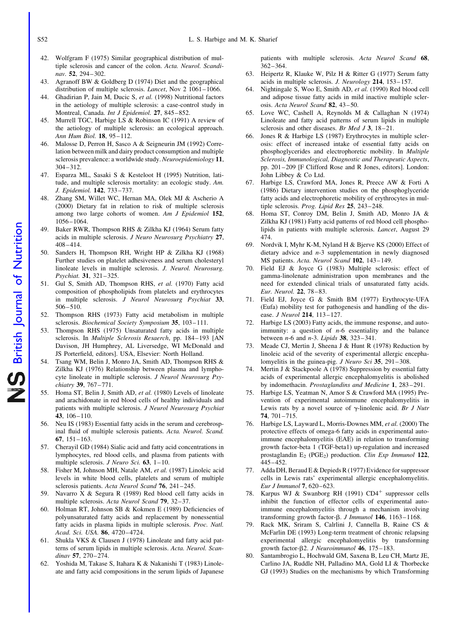- 42. Wolfgram F (1975) Similar geographical distribution of multiple sclerosis and cancer of the colon. Acta. Neurol. Scandinav. 52, 294–302.
- 43. Agranoff BW & Goldberg D (1974) Diet and the geographical distribution of multiple sclerosis. Lancet, Nov 2 1061–1066.
- 44. Ghadirian P, Jain M, Ducic S, et al. (1998) Nutritional factors in the aetiology of multiple sclerosis: a case-control study in Montreal, Canada. Int J Epidemiol. 27, 845–852.
- 45. Murrell TGC, Harbige LS & Robinson IC (1991) A review of the aetiology of multiple sclerosis: an ecological approach. Ann Hum Biol. 18, 95–112.
- 46. Malosse D, Perron H, Sasco A & Seigneurin JM (1992) Correlation between milk and dairy product consumption and multiple sclerosis prevalence: a worldwide study. Neuroepidemiology 11, 304–312.
- 47. Esparza ML, Sasaki S & Kesteloot H (1995) Nutrition, latitude, and multiple sclerosis mortality: an ecologic study. Am. J. Epidemiol. 142, 733–737.
- 48. Zhang SM, Willet WC, Hernan MA, Olek MJ & Ascherio A (2000) Dietary fat in relation to risk of multiple sclerosis among two large cohorts of women. Am J Epidemiol 152, 1056–1064.
- 49. Baker RWR, Thompson RHS & Zilkha KJ (1964) Serum fatty acids in multiple sclerosis. J Neuro Neurosurg Psychiatry 27, 408–414.
- 50. Sanders H, Thompson RH, Wright HP & Zilkha KJ (1968) Further studies on platelet adhesiveness and serum cholesteryl linoleate levels in multiple sclerosis. J. Neurol. Neurosurg. Psychiat. 31, 321–325.
- 51. Gul S, Smith AD, Thompson RHS, et al. (1970) Fatty acid composition of phospholipids from platelets and erythrocytes in multiple sclerosis. J Neurol Neurosurg Psychiat 33, 506–510.
- 52. Thompson RHS (1973) Fatty acid metabolism in multiple sclerosis. Biochemical Society Symposium 35, 103-111.
- 53. Thompson RHS (1975) Unsaturated fatty acids in multiple sclerosis. In Multiple Sclerosis Resaerch, pp. 184-193 [AN Davison, JH Humphrey, AL Liversedge, WI McDonald and JS Porterfield, editors]. USA, Elsevier: North Holland.
- 54. Tsang WM, Belin J, Monro JA, Smith AD, Thompson RHS & Zilkha KJ (1976) Relationship between plasma and lymphocyte linoleate in multiple sclerosis. J Neurol Neurosurg Psychiatry 39, 767–771.
- 55. Homa ST, Belin J, Smith AD, et al. (1980) Levels of linoleate and arachidonate in red blood cells of healthy individuals and patients with multiple sclerosis. J Neurol Neurosurg Psychiat 43, 106–110.
- 56. Neu IS (1983) Essential fatty acids in the serum and cerebrospinal fluid of multiple sclerosis patients. Acta. Neurol. Scand. 67, 151–163.
- 57. Cherayil GD (1984) Sialic acid and fatty acid concentrations in lymphocytes, red blood cells, and plasma from patients with multiple sclerosis. *J Neuro Sci.* **63**,  $1-10$ .
- 58. Fisher M, Johnson MH, Natale AM, et al. (1987) Linoleic acid levels in white blood cells, platelets and serum of multiple sclerosis patients. Acta Neurol Scand 76, 241-245.
- 59. Navarro X & Segura R (1989) Red blood cell fatty acids in multiple sclerosis. Acta Neurol Scand 79, 32–37.
- 60. Holman RT, Johnson SB & Kokmen E (1989) Deficiencies of polyunsaturated fatty acids and replacement by nonessential fatty acids in plasma lipids in multiple sclerosis. Proc. Natl. Acad. Sci. USA. 86, 4720–4724.
- 61. Shukla VKS & Clausen J (1978) Linoleate and fatty acid patterns of serum lipids in multiple sclerosis. Acta. Neurol. Scandinav 57, 270–274.
- 62. Yoshida M, Takase S, Itahara K & Nakanishi T (1983) Linoleate and fatty acid compositions in the serum lipids of Japanese

patients with multiple sclerosis. Acta Neurol Scand 68, 362–364.

- 63. Heipertz R, Klauke W, Pilz H & Ritter G (1977) Serum fatty acids in multiple sclerosis. J. Neurology 214, 153–157.
- 64. Nightingale S, Woo E, Smith AD, et al. (1990) Red blood cell and adipose tissue fatty acids in mild inactive multiple sclerosis. Acta Neurol Scand 82, 43–50.
- 65. Love WC, Cashell A, Reynolds M & Callaghan N (1974) Linoleate and fatty acid patterns of serum lipids in multiple sclerosis and other diseases. Br Med J 3, 18-21.
- 66. Jones R & Harbige LS (1987) Erythrocytes in multiple sclerosis: effect of increased intake of essential fatty acids on phosphoglycerides and electrophoretic mobility. In Multiple Sclerosis, Immunological, Diagnostic and Therapeutic Aspects, pp. 201–209 [F Clifford Rose and R Jones, editors]. London: John Libbey & Co Ltd.
- 67. Harbige LS, Crawford MA, Jones R, Preece AW & Forti A (1986) Dietary intervention studies on the phosphoglyceride fatty acids and electrophoretic mobility of erythrocytes in multiple sclerosis. Prog. Lipid Res 25, 243–248.
- 68. Homa ST, Conroy DM, Belin J, Smith AD, Monro JA & Zilkha KJ (1981) Fatty acid patterns of red blood cell phospholipids in patients with multiple sclerosis. Lancet, August 29 474.
- 69. Nordvik I, Myhr K-M, Nyland H & Bjerve KS (2000) Effect of dietary advice and n-3 supplementation in newly diagnosed MS patients. Acta. Neurol Scand 102, 143-149.
- 70. Field EJ & Joyce G (1983) Multiple sclerosis: effect of gamma-linolenate administration upon membranes and the need for extended clinical trials of unsaturated fatty acids. Eur. Neurol. 22, 78–83.
- 71. Field EJ, Joyce G & Smith BM (1977) Erythrocyte-UFA (Eufa) mobility test for pathogenesis and handling of the disease. J Neurol 214, 113–127.
- 72. Harbige LS (2003) Fatty acids, the immune response, and autoimmunity: a question of  $n-6$  essentiality and the balance between  $n-6$  and  $n-3$ . *Lipids* **38**,  $323-341$ .
- Meade CJ, Mertin J, Sheena J & Hunt R (1978) Reduction by linoleic acid of the severity of experimental allergic encephalomyelitis in the guinea-pig. *J Neuro Sci* 35, 291-308.
- 74. Mertin J & Stackpoole A (1978) Suppression by essential fatty acids of experimental allergic encephalomyelitis is abolished by indomethacin. Prostaglandins and Medicine 1, 283–291.
- 75. Harbige LS, Yeatman N, Amor S & Crawford MA (1995) Prevention of experimental autoimmune encephalomyelitis in Lewis rats by a novel source of  $\gamma$ -linolenic acid. Br J Nutr 74, 701–715.
- 76. Harbige LS, Layward L, Morris-Downes MM, et al. (2000) The protective effects of omega-6 fatty acids in experimental autoimmune encephalomyelitis (EAE) in relation to transforming growth factor-beta 1 (TGF-beta1) up-regulation and increased prostaglandin  $E_2$  (PGE<sub>2</sub>) production. Clin Exp Immunol 122, 445–452.
- 77. Adda DH, Beraud E & Depieds R (1977) Evidence for suppressor cells in Lewis rats' experimental allergic encephalomyelitis. Eur J Immunol 7, 620–623.
- 78. Karpus WJ & Swanborg RH (1991) CD4<sup>+</sup> suppressor cells inhibit the function of effector cells of experimental autoimmune encephalomyelitis through a mechanism involving transforming growth factor- $\beta$ . J Immunol 146, 1163-1168.
- 79. Rack MK, Sriram S, Calrlini J, Cannella B, Raine CS & McFarlin DE (1993) Long-term treatment of chronic relapsing experimental allergic encephalomyelitis by transforming growth factor- $\beta$ 2. J Neuroimmunol 46, 175-183.
- 80. Santambrogio L, Hochwald GM, Saxena B, Leu CH, Martz JE, Carlino JA, Ruddle NH, Palladino MA, Gold LI & Thorbecke GJ (1993) Studies on the mechanisms by which Transforming